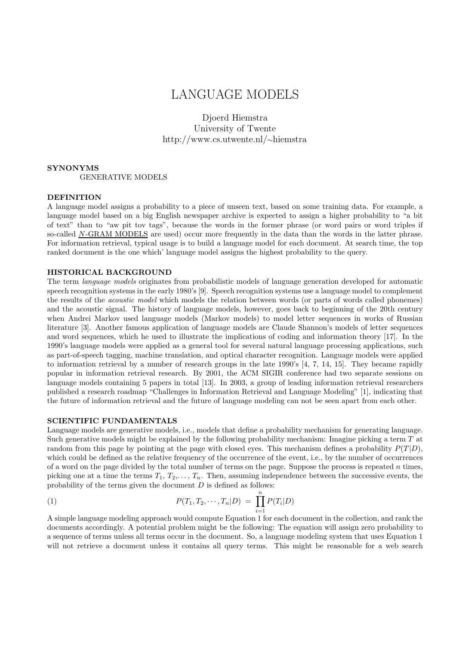# LANGUAGE MODELS

Djoerd Hiemstra University of Twente http://www.cs.utwente.nl/∼hiemstra

# SYNONYMS GENERATIVE MODELS

### DEFINITION

A language model assigns a probability to a piece of unseen text, based on some training data. For example, a language model based on a big English newspaper archive is expected to assign a higher probability to "a bit of text" than to "aw pit tov tags", because the words in the former phrase (or word pairs or word triples if so-called N-GRAM MODELS are used) occur more frequently in the data than the words in the latter phrase. For information retrieval, typical usage is to build a language model for each document. At search time, the top ranked document is the one which' language model assigns the highest probability to the query.

# HISTORICAL BACKGROUND

The term language models originates from probabilistic models of language generation developed for automatic speech recognition systems in the early 1980's [9]. Speech recognition systems use a language model to complement the results of the acoustic model which models the relation between words (or parts of words called phonemes) and the acoustic signal. The history of language models, however, goes back to beginning of the 20th century when Andrei Markov used language models (Markov models) to model letter sequences in works of Russian literature [3]. Another famous application of language models are Claude Shannon's models of letter sequences and word sequences, which he used to illustrate the implications of coding and information theory [17]. In the 1990's language models were applied as a general tool for several natural language processing applications, such as part-of-speech tagging, machine translation, and optical character recognition. Language models were applied to information retrieval by a number of research groups in the late 1990's [4, 7, 14, 15]. They became rapidly popular in information retrieval research. By 2001, the ACM SIGIR conference had two separate sessions on language models containing 5 papers in total [13]. In 2003, a group of leading information retrieval researchers published a research roadmap "Challenges in Information Retrieval and Language Modeling" [1], indicating that the future of information retrieval and the future of language modeling can not be seen apart from each other.

# SCIENTIFIC FUNDAMENTALS

Language models are generative models, i.e., models that define a probability mechanism for generating language. Such generative models might be explained by the following probability mechanism: Imagine picking a term  $T$  at random from this page by pointing at the page with closed eyes. This mechanism defines a probability  $P(T|D)$ , which could be defined as the relative frequency of the occurrence of the event, i.e., by the number of occurrences of a word on the page divided by the total number of terms on the page. Suppose the process is repeated  $n$  times, picking one at a time the terms  $T_1, T_2, \ldots, T_n$ . Then, assuming independence between the successive events, the probability of the terms given the document  $D$  is defined as follows:

(1) 
$$
P(T_1, T_2, \cdots, T_n | D) = \prod_{i=1}^n P(T_i | D)
$$

A simple language modeling approach would compute Equation 1 for each document in the collection, and rank the documents accordingly. A potential problem might be the following: The equation will assign zero probability to a sequence of terms unless all terms occur in the document. So, a language modeling system that uses Equation 1 will not retrieve a document unless it contains all query terms. This might be reasonable for a web search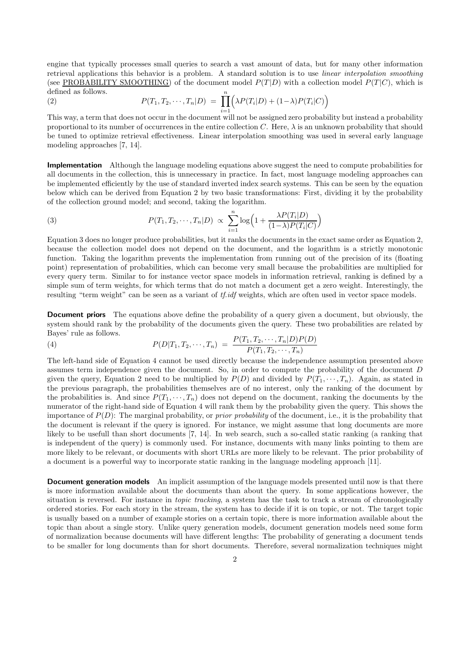engine that typically processes small queries to search a vast amount of data, but for many other information retrieval applications this behavior is a problem. A standard solution is to use linear interpolation smoothing (see PROBABILITY SMOOTHING) of the document model  $P(T|D)$  with a collection model  $P(T|C)$ , which is defined as follows.

defined as follows.  
\n
$$
P(T_1, T_2, \cdots, T_n | D) = \prod_{i=1}^n \left( \lambda P(T_i | D) + (1 - \lambda) P(T_i | C) \right)
$$

This way, a term that does not occur in the document will not be assigned zero probability but instead a probability proportional to its number of occurrences in the entire collection C. Here,  $\lambda$  is an unknown probability that should be tuned to optimize retrieval effectiveness. Linear interpolation smoothing was used in several early language modeling approaches [7, 14].

Implementation Although the language modeling equations above suggest the need to compute probabilities for all documents in the collection, this is unnecessary in practice. In fact, most language modeling approaches can be implemented efficiently by the use of standard inverted index search systems. This can be seen by the equation below which can be derived from Equation 2 by two basic transformations: First, dividing it by the probability of the collection ground model; and second, taking the logarithm.

(3) 
$$
P(T_1, T_2, \cdots, T_n | D) \propto \sum_{i=1}^n \log \left( 1 + \frac{\lambda P(T_i | D)}{(1 - \lambda) P(T_i | C)} \right)
$$

Equation 3 does no longer produce probabilities, but it ranks the documents in the exact same order as Equation 2, because the collection model does not depend on the document, and the logarithm is a strictly monotonic function. Taking the logarithm prevents the implementation from running out of the precision of its (floating point) representation of probabilities, which can become very small because the probabilities are multiplied for every query term. Similar to for instance vector space models in information retrieval, ranking is defined by a simple sum of term weights, for which terms that do not match a document get a zero weight. Interestingly, the resulting "term weight" can be seen as a variant of *tf.idf* weights, which are often used in vector space models.

**Document priors** The equations above define the probability of a query given a document, but obviously, the system should rank by the probability of the documents given the query. These two probabilities are related by Bayes' rule as follows.

(4) 
$$
P(D|T_1, T_2, \cdots, T_n) = \frac{P(T_1, T_2, \cdots, T_n|D)P(D)}{P(T_1, T_2, \cdots, T_n)}
$$

The left-hand side of Equation 4 cannot be used directly because the independence assumption presented above assumes term independence given the document. So, in order to compute the probability of the document D given the query, Equation 2 need to be multiplied by  $P(D)$  and divided by  $P(T_1, \dots, T_n)$ . Again, as stated in the previous paragraph, the probabilities themselves are of no interest, only the ranking of the document by the probabilities is. And since  $P(T_1, \dots, T_n)$  does not depend on the document, ranking the documents by the numerator of the right-hand side of Equation 4 will rank them by the probability given the query. This shows the importance of  $P(D)$ : The marginal probability, or *prior probability* of the document, i.e., it is the probability that the document is relevant if the query is ignored. For instance, we might assume that long documents are more likely to be usefull than short documents [7, 14]. In web search, such a so-called static ranking (a ranking that is independent of the query) is commonly used. For instance, documents with many links pointing to them are more likely to be relevant, or documents with short URLs are more likely to be relevant. The prior probability of a document is a powerful way to incorporate static ranking in the language modeling approach [11].

**Document generation models** An implicit assumption of the language models presented until now is that there is more information available about the documents than about the query. In some applications however, the situation is reversed. For instance in *topic tracking*, a system has the task to track a stream of chronologically ordered stories. For each story in the stream, the system has to decide if it is on topic, or not. The target topic is usually based on a number of example stories on a certain topic, there is more information available about the topic than about a single story. Unlike query generation models, document generation models need some form of normalization because documents will have different lengths: The probability of generating a document tends to be smaller for long documents than for short documents. Therefore, several normalization techniques might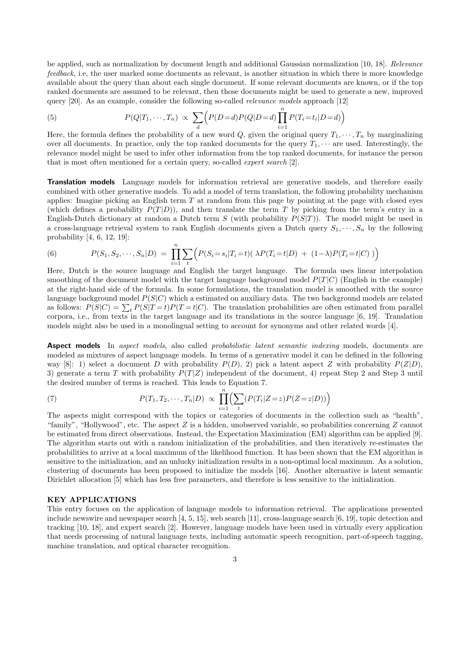be applied, such as normalization by document length and additional Gaussian normalization [10, 18]. Relevance feedback, i.e, the user marked some documents as relevant, is another situation in which there is more knowledge available about the query than about each single document. If some relevant documents are known, or if the top ranked documents are assumed to be relevant, then those documents might be used to generate a new, improved query  $[20]$ . As an example, consider the following so-called *relevance models* approach  $[12]$ 

(5) 
$$
P(Q|T_1, \cdots, T_n) \propto \sum_{d} \left( P(D=d)P(Q|D=d) \prod_{i=1}^{n} P(T_i = t_i | D=d) \right)
$$

Here, the formula defines the probability of a new word Q, given the original query  $T_1, \dots, T_n$  by marginalizing over all documents. In practice, only the top ranked documents for the query  $T_1, \dots$  are used. Interestingly, the relevance model might be used to infer other information from the top ranked documents, for instance the person that is most often mentioned for a certain query, so-called expert search [2].

**Translation models** Language models for information retrieval are generative models, and therefore easily combined with other generative models. To add a model of term translation, the following probability mechanism applies: Imagine picking an English term  $T$  at random from this page by pointing at the page with closed eyes (which defines a probability  $P(T|D)$ ), and then translate the term T by picking from the term's entry in a English-Dutch dictionary at random a Dutch term S (with probability  $P(S|T)$ ). The model might be used in a cross-language retrieval system to rank English documents given a Dutch query  $S_1, \dots, S_n$  by the following probability [4, 6, 12, 19]:

(6) 
$$
P(S_1, S_2, \cdots, S_n | D) = \prod_{i=1}^n \sum_t \Big( P(S_i = s_i | T_i = t) (\lambda P(T_i = t | D) + (1 - \lambda) P(T_i = t | C)) \Big)
$$

Here, Dutch is the source language and English the target language. The formula uses linear interpolation smoothing of the document model with the target language background model  $P(T|C)$  (English in the example) at the right-hand side of the formula. In some formulations, the translation model is smoothed with the source language background model  $P(S|C)$  which a estimated on auxiliary data. The two background models are related as follows:  $P(S|C) = \sum_{t} P(S|T=t)P(T=t|C)$ . The translation probabilities are often estimated from parallel corpora, i.e., from texts in the target language and its translations in the source language [6, 19]. Translation models might also be used in a monolingual setting to account for synonyms and other related words [4].

**Aspect models** In aspect models, also called probabilistic latent semantic indexing models, documents are modeled as mixtures of aspect language models. In terms of a generative model it can be defined in the following way [8]: 1) select a document D with probability  $P(D)$ , 2) pick a latent aspect Z with probability  $P(Z|D)$ , 3) generate a term T with probability  $P(T|Z)$  independent of the document, 4) repeat Step 2 and Step 3 until the desired number of terms is reached. This leads to Equation 7.

(7) 
$$
P(T_1, T_2, \cdots, T_n | D) \propto \prod_{i=1}^n \left( \sum_z (P(T_i | Z = z) P(Z = z | D)) \right)
$$

The aspects might correspond with the topics or categories of documents in the collection such as "health", "family", "Hollywood", etc. The aspect  $Z$  is a hidden, unobserved variable, so probabilities concerning  $Z$  cannot be estimated from direct observations. Instead, the Expectation Maximization (EM) algorithm can be applied [9]. The algorithm starts out with a random initialization of the probabilities, and then iteratively re-estimates the probabilities to arrive at a local maximum of the likelihood function. It has been shown that the EM algorithm is sensitive to the initialization, and an unlucky initialization results in a non-optimal local maximum. As a solution, clustering of documents has been proposed to initialize the models [16]. Another alternative is latent semantic Dirichlet allocation [5] which has less free parameters, and therefore is less sensitive to the initialization.

# KEY APPLICATIONS

This entry focuses on the application of language models to information retrieval. The applications presented include newswire and newspaper search [4, 5, 15], web search [11], cross-language search [6, 19], topic detection and tracking [10, 18], and expert search [2]. However, language models have been used in virtually every application that needs processing of natural language texts, including automatic speech recognition, part-of-speech tagging, machine translation, and optical character recognition.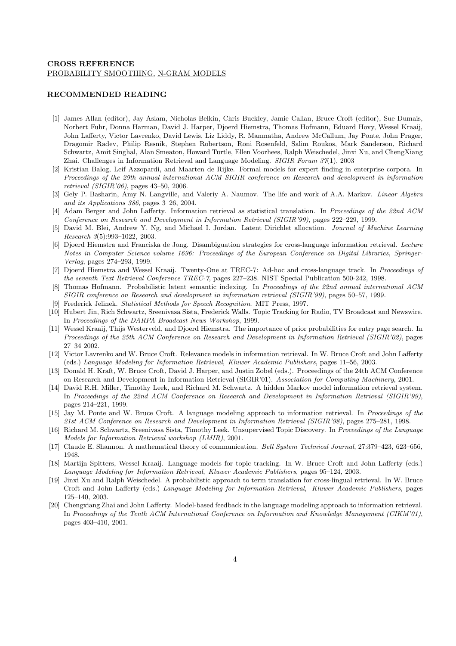### CROSS REFERENCE PROBABILITY SMOOTHING, N-GRAM MODELS

#### RECOMMENDED READING

- [1] James Allan (editor), Jay Aslam, Nicholas Belkin, Chris Buckley, Jamie Callan, Bruce Croft (editor), Sue Dumais, Norbert Fuhr, Donna Harman, David J. Harper, Djoerd Hiemstra, Thomas Hofmann, Eduard Hovy, Wessel Kraaij, John Lafferty, Victor Lavrenko, David Lewis, Liz Liddy, R. Manmatha, Andrew McCallum, Jay Ponte, John Prager, Dragomir Radev, Philip Resnik, Stephen Robertson, Roni Rosenfeld, Salim Roukos, Mark Sanderson, Richard Schwartz, Amit Singhal, Alan Smeaton, Howard Turtle, Ellen Voorhees, Ralph Weischedel, Jinxi Xu, and ChengXiang Zhai. Challenges in Information Retrieval and Language Modeling. SIGIR Forum 37(1), 2003
- [2] Kristian Balog, Leif Azzopardi, and Maarten de Rijke. Formal models for expert finding in enterprise corpora. In Proceedings of the 29th annual international ACM SIGIR conference on Research and development in information retrieval (SIGIR'06), pages 43–50, 2006.
- [3] Gely P. Basharin, Amy N. Langville, and Valeriy A. Naumov. The life and work of A.A. Markov. Linear Algebra and its Applications 386, pages 3–26, 2004.
- [4] Adam Berger and John Lafferty. Information retrieval as statistical translation. In Proceedings of the 22nd ACM Conference on Research and Development in Information Retrieval (SIGIR'99), pages 222–229, 1999.
- [5] David M. Blei, Andrew Y. Ng, and Michael I. Jordan. Latent Dirichlet allocation. Journal of Machine Learning Research 3(5):993–1022, 2003.
- [6] Djoerd Hiemstra and Franciska de Jong. Disambiguation strategies for cross-language information retrieval. Lecture Notes in Computer Science volume 1696: Proceedings of the European Conference on Digital Libraries, Springer-Verlag, pages 274–293, 1999.
- [7] Djoerd Hiemstra and Wessel Kraaij. Twenty-One at TREC-7: Ad-hoc and cross-language track. In Proceedings of the seventh Text Retrieval Conference TREC-7, pages 227–238. NIST Special Publication 500-242, 1998.
- [8] Thomas Hofmann. Probabilistic latent semantic indexing. In Proceedings of the 22nd annual international ACM SIGIR conference on Research and development in information retrieval (SIGIR'99), pages 50–57, 1999.
- [9] Frederick Jelinek. Statistical Methods for Speech Recognition. MIT Press, 1997.
- [10] Hubert Jin, Rich Schwartz, Sreenivasa Sista, Frederick Walls. Topic Tracking for Radio, TV Broadcast and Newswire. In Proceedings of the DARPA Broadcast News Workshop, 1999.
- [11] Wessel Kraaij, Thijs Westerveld, and Djoerd Hiemstra. The importance of prior probabilities for entry page search. In Proceedings of the 25th ACM Conference on Research and Development in Information Retrieval (SIGIR'02), pages 27–34 2002.
- [12] Victor Lavrenko and W. Bruce Croft. Relevance models in information retrieval. In W. Bruce Croft and John Lafferty (eds.) Language Modeling for Information Retrieval, Kluwer Academic Publishers, pages 11–56, 2003.
- [13] Donald H. Kraft, W. Bruce Croft, David J. Harper, and Justin Zobel (eds.). Proceedings of the 24th ACM Conference on Research and Development in Information Retrieval (SIGIR'01). Association for Computing Machinery, 2001.
- [14] David R.H. Miller, Timothy Leek, and Richard M. Schwartz. A hidden Markov model information retrieval system. In Proceedings of the 22nd ACM Conference on Research and Development in Information Retrieval (SIGIR'99), pages 214–221, 1999.
- [15] Jay M. Ponte and W. Bruce Croft. A language modeling approach to information retrieval. In Proceedings of the 21st ACM Conference on Research and Development in Information Retrieval (SIGIR'98), pages 275–281, 1998.
- [16] Richard M. Schwartz, Sreenivasa Sista, Timothy Leek. Unsupervised Topic Discovery. In Proceedings of the Language Models for Information Retrieval workshop (LMIR), 2001.
- [17] Claude E. Shannon. A mathematical theory of communication. Bell System Technical Journal, 27:379-423, 623-656, 1948.
- [18] Martijn Spitters, Wessel Kraaij. Language models for topic tracking. In W. Bruce Croft and John Lafferty (eds.) Language Modeling for Information Retrieval, Kluwer Academic Publishers, pages 95–124, 2003.
- [19] Jinxi Xu and Ralph Weischedel. A probabilistic approach to term translation for cross-lingual retrieval. In W. Bruce Croft and John Lafferty (eds.) Language Modeling for Information Retrieval, Kluwer Academic Publishers, pages 125–140, 2003.
- [20] Chengxiang Zhai and John Lafferty. Model-based feedback in the language modeling approach to information retrieval. In Proceedings of the Tenth ACM International Conference on Information and Knowledge Management (CIKM'01), pages 403–410, 2001.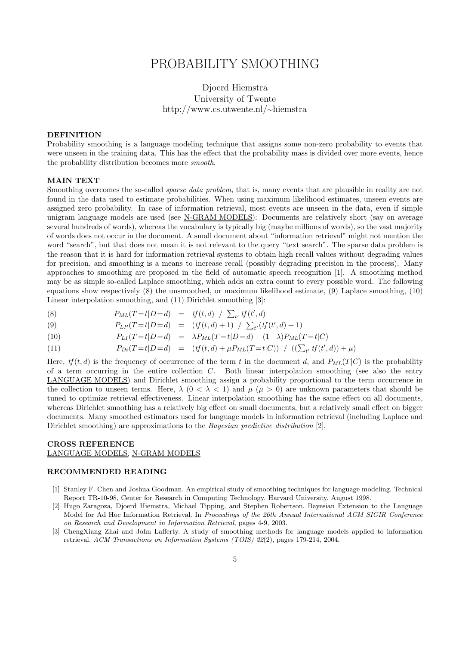# PROBABILITY SMOOTHING

# Djoerd Hiemstra University of Twente http://www.cs.utwente.nl/∼hiemstra

#### DEFINITION

Probability smoothing is a language modeling technique that assigns some non-zero probability to events that were unseen in the training data. This has the effect that the probability mass is divided over more events, hence the probability distribution becomes more smooth.

# MAIN TEXT

Smoothing overcomes the so-called *sparse data problem*, that is, many events that are plausible in reality are not found in the data used to estimate probabilities. When using maximum likelihood estimates, unseen events are assigned zero probability. In case of information retrieval, most events are unseen in the data, even if simple unigram language models are used (see N-GRAM MODELS): Documents are relatively short (say on average several hundreds of words), whereas the vocabulary is typically big (maybe millions of words), so the vast majority of words does not occur in the document. A small document about "information retrieval" might not mention the word "search", but that does not mean it is not relevant to the query "text search". The sparse data problem is the reason that it is hard for information retrieval systems to obtain high recall values without degrading values for precision, and smoothing is a means to increase recall (possibly degrading precision in the process). Many approaches to smoothing are proposed in the field of automatic speech recognition [1]. A smoothing method may be as simple so-called Laplace smoothing, which adds an extra count to every possible word. The following equations show respectively (8) the unsmoothed, or maximum likelihood estimate, (9) Laplace smoothing, (10) Linear interpolation smoothing, and (11) Dirichlet smoothing [3]:

(8) 
$$
P_{ML}(T=t|D=d) = tf(t,d) / \sum_{t'} tf(t',d)
$$

(9) 
$$
P_{LP}(T=t|D=d) = (tf(t,d)+1) / \sum_{t'} (tf(t',d)+1)
$$

(10) 
$$
P_{LI}(T=t|D=d) = \lambda P_{ML}(T=t|D=d) + (1-\lambda)P_{ML}(T=t|C)
$$

(11) 
$$
P_{Di}(T=t|D=d) = (tf(t,d) + \mu P_{ML}(T=t|C)) / ((\sum_{t'} tf(t',d)) + \mu)
$$

Here,  $tf(t, d)$  is the frequency of occurrence of the term t in the document d, and  $P_{ML}(T|C)$  is the probability of a term occurring in the entire collection  $C$ . Both linear interpolation smoothing (see also the entry LANGUAGE MODELS) and Dirichlet smoothing assign a probability proportional to the term occurrence in the collection to unseen terms. Here,  $\lambda$  ( $0 < \lambda < 1$ ) and  $\mu$  ( $\mu > 0$ ) are unknown parameters that should be tuned to optimize retrieval effectiveness. Linear interpolation smoothing has the same effect on all documents, whereas Dirichlet smoothing has a relatively big effect on small documents, but a relatively small effect on bigger documents. Many smoothed estimators used for language models in information retrieval (including Laplace and Dirichlet smoothing) are approximations to the *Bayesian predictive distribution* [2].

# CROSS REFERENCE LANGUAGE MODELS, N-GRAM MODELS

#### RECOMMENDED READING

- [1] Stanley F. Chen and Joshua Goodman. An empirical study of smoothing techniques for language modeling. Technical Report TR-10-98, Center for Research in Computing Technology. Harvard University, August 1998.
- [2] Hugo Zaragoza, Djoerd Hiemstra, Michael Tipping, and Stephen Robertson. Bayesian Extension to the Language Model for Ad Hoc Information Retrieval. In Proceedings of the 26th Annual International ACM SIGIR Conference on Research and Development in Information Retrieval, pages 4-9, 2003.
- [3] ChengXiang Zhai and John Lafferty. A study of smoothing methods for language models applied to information retrieval. ACM Transactions on Information Systems (TOIS) 22(2), pages 179-214, 2004.